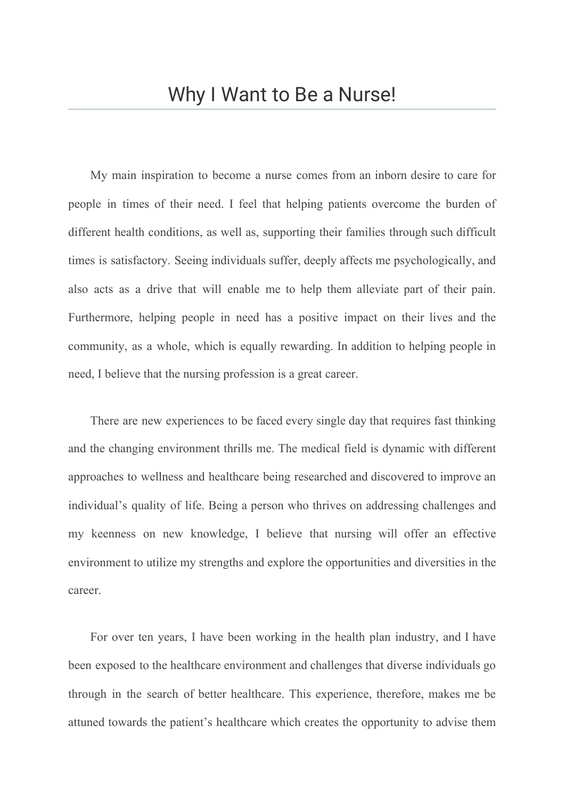My main inspiration to become a nurse comes from an inborn desire to care for people in times of their need. I feel that helping patients overcome the burden of different health conditions, as well as, supporting their families through such difficult times is satisfactory. Seeing individuals suffer, deeply affects me psychologically, and also acts as a drive that will enable me to help them alleviate part of their pain. Furthermore, helping people in need has a positive impact on their lives and the community, as a whole, which is equally rewarding. In addition to helping people in need, I believe that the nursing profession is a great career.

There are new experiences to be faced every single day that requires fast thinking and the changing environment thrills me. The medical field is dynamic with different approaches to wellness and healthcare being researched and discovered to improve an individual's quality of life. Being a person who thrives on addressing challenges and my keenness on new knowledge, I believe that nursing will offer an effective environment to utilize my strengths and explore the opportunities and diversities in the career.

For over ten years, I have been working in the health plan industry, and I have been exposed to the healthcare environment and challenges that diverse individuals go through in the search of better healthcare. This experience, therefore, makes me be attuned towards the patient's healthcare which creates the opportunity to advise them